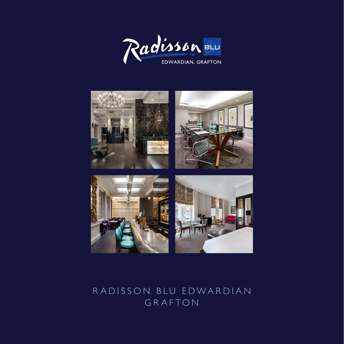



## RADISSON BLU EDWARDIAN GRAFTON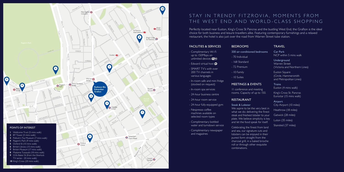**Trains** Euston (4 mins walk)

# STAY IN TRENDY FITZROVIA, MOMENTS FROM THE WEST END AND WORLD-CLASS SHOPPING



#### TRAVEL

Car Park NCP within 5 mins walk

> Underground Warren Street (Victoria and Northern Lines)

Euston Square (Circle, Hammersmith and Metropolitan Lines)

King's Cross St. Pancras Eurostar (15 mins walk)

Airport City Airport (10 miles)

Heathrow (18 miles) Gatwick (28 miles) Luton (35 miles)

Stansted (37 miles)

Perfectly located near Euston, King's Cross St Pancras and the bustling West End, the Grafton is the ideal choice for both business and leisure travellers alike. Featuring contemporary furnishings and a relaxed restaurant, the hotel is also just over the road from Warren Street tube station.

#### FACILITIES & SERVICES

- Complimentary Wi-Fi up to 150Mbps on unlimited devices **WIFI**
- Edward virtual host  $\Theta$
- SMART TV's with over 200 TV channels in various languages
- In-room safe and mini fridge (stocked on request)
- In-room spa services
- 24-hour business centre
- 24-hour room service
- 24-hour fully-equipped gym
- Nespresso coffee machines available on selected room types
- Complimentary bottled water and turndown service
- Complimentary newspaper and magazines

#### BEDROOMS

- 330 air-conditioned bedrooms
- 70 Individual
- 168 Standard
- 72 Premium
- 10 Family
- 10 Suites

#### MEETINGS & EVENTS

11 conference and meeting rooms. Capacity of up to 150.

### RESTAURANT

Steak & Lobster

We aspire to be the very best in what we do; delivering the finest steak and freshest lobster to your plate. We believe simplicity is key and let the food speak for itself.

Celebrating the finest from land and sea, our signature cuts and lobsters can be enjoyed in their purest form straight from the charcoal grill, in a baked brioche roll or through other exquisite combinations.